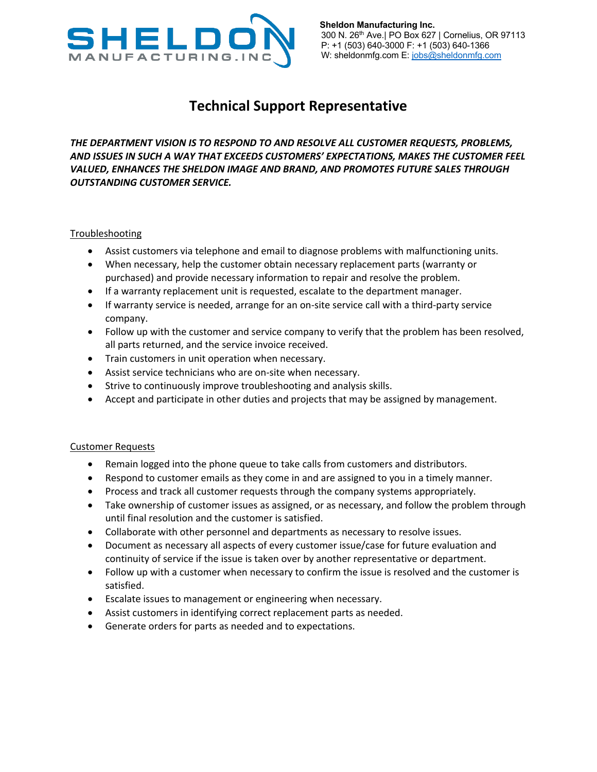

# **Technical Support Representative**

*THE DEPARTMENT VISION IS TO RESPOND TO AND RESOLVE ALL CUSTOMER REQUESTS, PROBLEMS, AND ISSUES IN SUCH A WAY THAT EXCEEDS CUSTOMERS' EXPECTATIONS, MAKES THE CUSTOMER FEEL VALUED, ENHANCES THE SHELDON IMAGE AND BRAND, AND PROMOTES FUTURE SALES THROUGH OUTSTANDING CUSTOMER SERVICE.*

#### **Troubleshooting**

- Assist customers via telephone and email to diagnose problems with malfunctioning units.
- When necessary, help the customer obtain necessary replacement parts (warranty or purchased) and provide necessary information to repair and resolve the problem.
- If a warranty replacement unit is requested, escalate to the department manager.
- If warranty service is needed, arrange for an on-site service call with a third-party service company.
- Follow up with the customer and service company to verify that the problem has been resolved, all parts returned, and the service invoice received.
- Train customers in unit operation when necessary.
- Assist service technicians who are on-site when necessary.
- Strive to continuously improve troubleshooting and analysis skills.
- Accept and participate in other duties and projects that may be assigned by management.

#### Customer Requests

- Remain logged into the phone queue to take calls from customers and distributors.
- Respond to customer emails as they come in and are assigned to you in a timely manner.
- Process and track all customer requests through the company systems appropriately.
- Take ownership of customer issues as assigned, or as necessary, and follow the problem through until final resolution and the customer is satisfied.
- Collaborate with other personnel and departments as necessary to resolve issues.
- Document as necessary all aspects of every customer issue/case for future evaluation and continuity of service if the issue is taken over by another representative or department.
- Follow up with a customer when necessary to confirm the issue is resolved and the customer is satisfied.
- Escalate issues to management or engineering when necessary.
- Assist customers in identifying correct replacement parts as needed.
- Generate orders for parts as needed and to expectations.